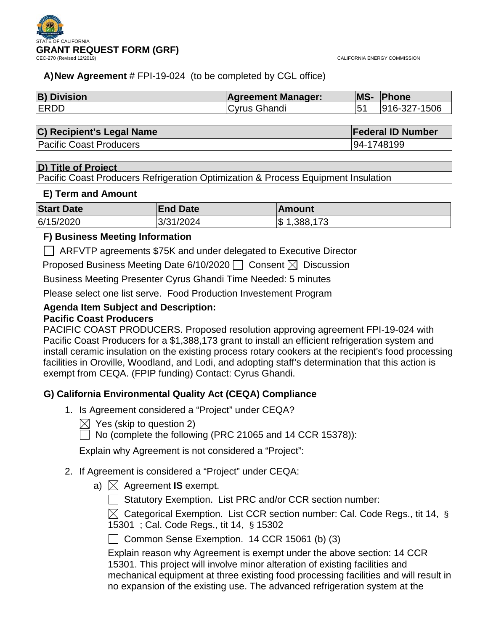

## **A)New Agreement** # FPI-19-024 (to be completed by CGL office)

| <b>B) Division</b> | <b>Agreement Manager:</b> | <b>MS-</b> | <b>Phone</b> |
|--------------------|---------------------------|------------|--------------|
| <b>IERDD</b>       | Cyrus Ghandi              |            | 916-327-1506 |

| C) Recipient's Legal Name      | <b>Federal ID Number</b> |
|--------------------------------|--------------------------|
| <b>Pacific Coast Producers</b> | 94-1748199               |

## **D) Title of Project**

Pacific Coast Producers Refrigeration Optimization & Process Equipment Insulation

## **E) Term and Amount**

| <b>Start Date</b> | <b>End Date</b> | ∣Amount        |
|-------------------|-----------------|----------------|
| 6/15/2020         | 3/31/2024       | 1,388,173<br>S |

## **F) Business Meeting Information**

ARFVTP agreements \$75K and under delegated to Executive Director

Proposed Business Meeting Date 6/10/2020  $\Box$  Consent  $\boxtimes$  Discussion

Business Meeting Presenter Cyrus Ghandi Time Needed: 5 minutes

Please select one list serve. Food Production Investement Program

### **Agenda Item Subject and Description: Pacific Coast Producers**

## PACIFIC COAST PRODUCERS. Proposed resolution approving agreement FPI-19-024 with Pacific Coast Producers for a \$1,388,173 grant to install an efficient refrigeration system and install ceramic insulation on the existing process rotary cookers at the recipient's food processing facilities in Oroville, Woodland, and Lodi, and adopting staff's determination that this action is exempt from CEQA. (FPIP funding) Contact: Cyrus Ghandi.

## **G) California Environmental Quality Act (CEQA) Compliance**

- 1. Is Agreement considered a "Project" under CEQA?
	- $\boxtimes$  Yes (skip to question 2)

 $\Box$  No (complete the following (PRC 21065 and 14 CCR 15378)):

Explain why Agreement is not considered a "Project":

- 2. If Agreement is considered a "Project" under CEQA:
	- a)  $\boxtimes$  Agreement **IS** exempt.
		- $\Box$  Statutory Exemption. List PRC and/or CCR section number:

 $\boxtimes$  Categorical Exemption. List CCR section number: Cal. Code Regs., tit 14, § 15301 ; Cal. Code Regs., tit 14, § 15302

Common Sense Exemption.  $14$  CCR 15061 (b) (3)

Explain reason why Agreement is exempt under the above section: 14 CCR 15301. This project will involve minor alteration of existing facilities and mechanical equipment at three existing food processing facilities and will result in no expansion of the existing use. The advanced refrigeration system at the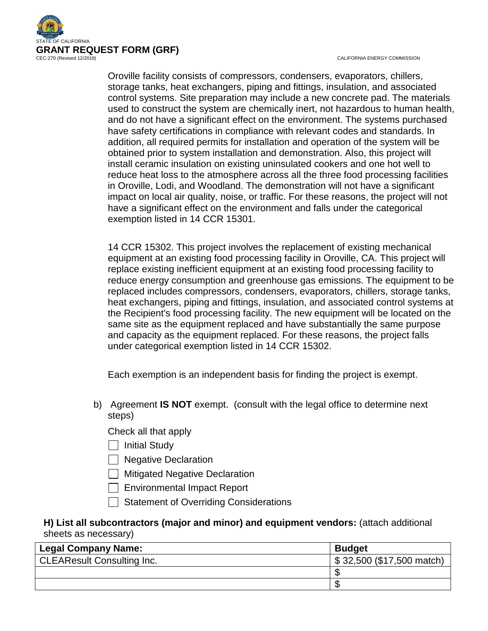

CALIFORNIA ENERGY COMMISSION

Oroville facility consists of compressors, condensers, evaporators, chillers, storage tanks, heat exchangers, piping and fittings, insulation, and associated control systems. Site preparation may include a new concrete pad. The materials used to construct the system are chemically inert, not hazardous to human health, and do not have a significant effect on the environment. The systems purchased have safety certifications in compliance with relevant codes and standards. In addition, all required permits for installation and operation of the system will be obtained prior to system installation and demonstration. Also, this project will install ceramic insulation on existing uninsulated cookers and one hot well to reduce heat loss to the atmosphere across all the three food processing facilities in Oroville, Lodi, and Woodland. The demonstration will not have a significant impact on local air quality, noise, or traffic. For these reasons, the project will not have a significant effect on the environment and falls under the categorical exemption listed in 14 CCR 15301.

14 CCR 15302. This project involves the replacement of existing mechanical equipment at an existing food processing facility in Oroville, CA. This project will replace existing inefficient equipment at an existing food processing facility to reduce energy consumption and greenhouse gas emissions. The equipment to be replaced includes compressors, condensers, evaporators, chillers, storage tanks, heat exchangers, piping and fittings, insulation, and associated control systems at the Recipient's food processing facility. The new equipment will be located on the same site as the equipment replaced and have substantially the same purpose and capacity as the equipment replaced. For these reasons, the project falls under categorical exemption listed in 14 CCR 15302.

Each exemption is an independent basis for finding the project is exempt.

b) Agreement **IS NOT** exempt. (consult with the legal office to determine next steps)

Check all that apply

- $\Box$  Initial Study
- □ Negative Declaration
- Mitigated Negative Declaration
- $\Box$  Environmental Impact Report
- | Statement of Overriding Considerations

## **H) List all subcontractors (major and minor) and equipment vendors:** (attach additional sheets as necessary)

| <b>Legal Company Name:</b>        | <b>Budget</b>             |
|-----------------------------------|---------------------------|
| <b>CLEAResult Consulting Inc.</b> | \$32,500 (\$17,500 match) |
|                                   |                           |
|                                   |                           |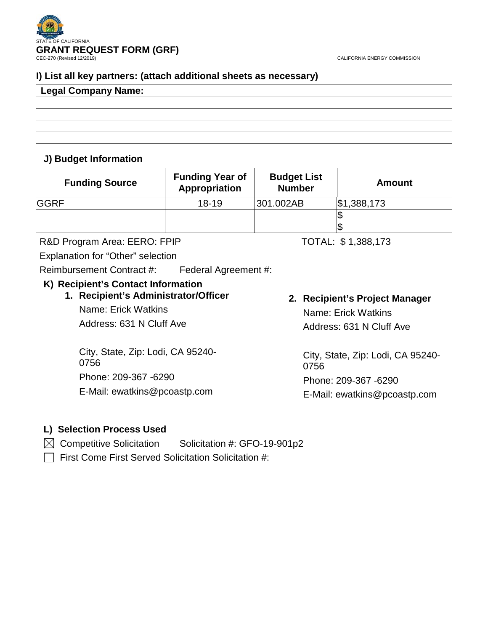

## **I) List all key partners: (attach additional sheets as necessary)**

| Legal Company Name: |  |  |
|---------------------|--|--|
|                     |  |  |
|                     |  |  |
|                     |  |  |
|                     |  |  |

## **J) Budget Information**

| <b>Funding Source</b> | <b>Funding Year of</b><br>Appropriation | <b>Budget List</b><br><b>Number</b> | <b>Amount</b> |
|-----------------------|-----------------------------------------|-------------------------------------|---------------|
| <b>GGRF</b>           | $18 - 19$                               | 301.002AB                           | \$1,388,173   |
|                       |                                         |                                     |               |
|                       |                                         |                                     |               |

R&D Program Area: EERO: FPIP TOTAL: \$1,388,173

Explanation for "Other" selection

Reimbursement Contract #: Federal Agreement #:

## **K) Recipient's Contact Information**

**1. Recipient's Administrator/Officer** Name: Erick Watkins Address: 631 N Cluff Ave

City, State, Zip: Lodi, CA 95240- 0756 Phone: 209-367 -6290 E-Mail: ewatkins@pcoastp.com

# **2. Recipient's Project Manager** Name: Erick Watkins Address: 631 N Cluff Ave

City, State, Zip: Lodi, CA 95240- 0756 Phone: 209-367 -6290

E-Mail: ewatkins@pcoastp.com

## **L) Selection Process Used**

 $\boxtimes$  Competitive Solicitation Solicitation #: GFO-19-901p2

 $\Box$  First Come First Served Solicitation Solicitation #: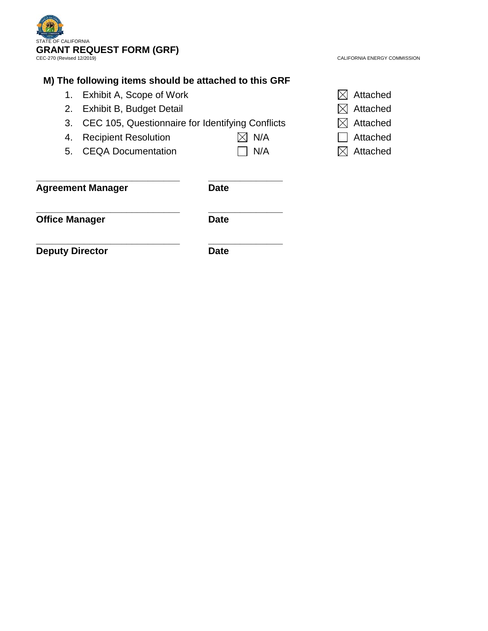

CALIFORNIA ENERGY COMMISSION

## **M) The following items should be attached to this GRF**

**\_\_\_\_\_\_\_\_\_\_\_\_\_\_\_\_\_\_\_\_\_\_\_\_\_\_\_ \_\_\_\_\_\_\_\_\_\_\_\_\_\_**

- 1. Exhibit A, Scope of Work  $\boxtimes$  Attached
- 2. Exhibit B, Budget Detail  $\boxtimes$  Attached
- 3. CEC 105, Questionnaire for Identifying Conflicts  $\boxtimes$  Attached
- 4. Recipient Resolution  $\boxtimes$  N/A  $\Box$  Attached
- 5. CEQA Documentation  $\Box$  N/A  $\boxtimes$  Attached
- 
- 
- 
- 
- 
- 

**Agreement Manager Date**

**\_\_\_\_\_\_\_\_\_\_\_\_\_\_\_\_\_\_\_\_\_\_\_\_\_\_\_ \_\_\_\_\_\_\_\_\_\_\_\_\_\_ Office Manager Date** 

**\_\_\_\_\_\_\_\_\_\_\_\_\_\_\_\_\_\_\_\_\_\_\_\_\_\_\_ \_\_\_\_\_\_\_\_\_\_\_\_\_\_ Deputy Director Date**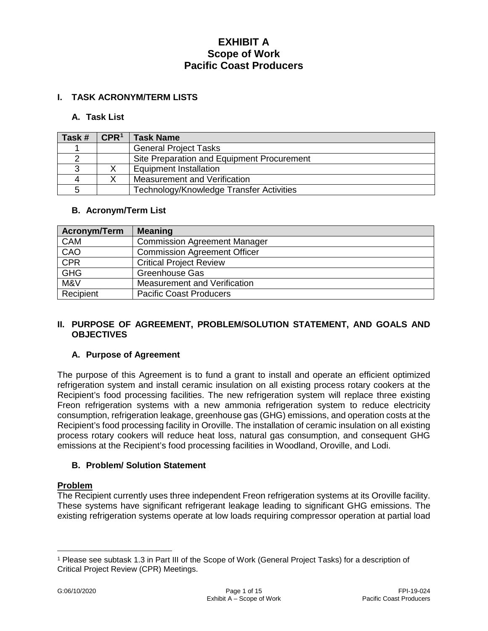### **I. TASK ACRONYM/TERM LISTS**

### **A. Task List**

| Task # | $\mathsf{CPR}^1$ | <b>Task Name</b>                           |
|--------|------------------|--------------------------------------------|
|        |                  | <b>General Project Tasks</b>               |
|        |                  | Site Preparation and Equipment Procurement |
|        |                  | <b>Equipment Installation</b>              |
|        |                  | Measurement and Verification               |
|        |                  | Technology/Knowledge Transfer Activities   |

### **B. Acronym/Term List**

| Acronym/Term | <b>Meaning</b>                      |
|--------------|-------------------------------------|
| <b>CAM</b>   | <b>Commission Agreement Manager</b> |
| CAO          | <b>Commission Agreement Officer</b> |
| CPR          | <b>Critical Project Review</b>      |
| <b>GHG</b>   | <b>Greenhouse Gas</b>               |
| M&V          | Measurement and Verification        |
| Recipient    | <b>Pacific Coast Producers</b>      |

### **II. PURPOSE OF AGREEMENT, PROBLEM/SOLUTION STATEMENT, AND GOALS AND OBJECTIVES**

### **A. Purpose of Agreement**

The purpose of this Agreement is to fund a grant to install and operate an efficient optimized refrigeration system and install ceramic insulation on all existing process rotary cookers at the Recipient's food processing facilities. The new refrigeration system will replace three existing Freon refrigeration systems with a new ammonia refrigeration system to reduce electricity consumption, refrigeration leakage, greenhouse gas (GHG) emissions, and operation costs at the Recipient's food processing facility in Oroville. The installation of ceramic insulation on all existing process rotary cookers will reduce heat loss, natural gas consumption, and consequent GHG emissions at the Recipient's food processing facilities in Woodland, Oroville, and Lodi.

### **B. Problem/ Solution Statement**

### **Problem**

The Recipient currently uses three independent Freon refrigeration systems at its Oroville facility. These systems have significant refrigerant leakage leading to significant GHG emissions. The existing refrigeration systems operate at low loads requiring compressor operation at partial load

 $\overline{a}$ 

<span id="page-4-0"></span><sup>1</sup> Please see subtask 1.3 in Part III of the Scope of Work (General Project Tasks) for a description of Critical Project Review (CPR) Meetings.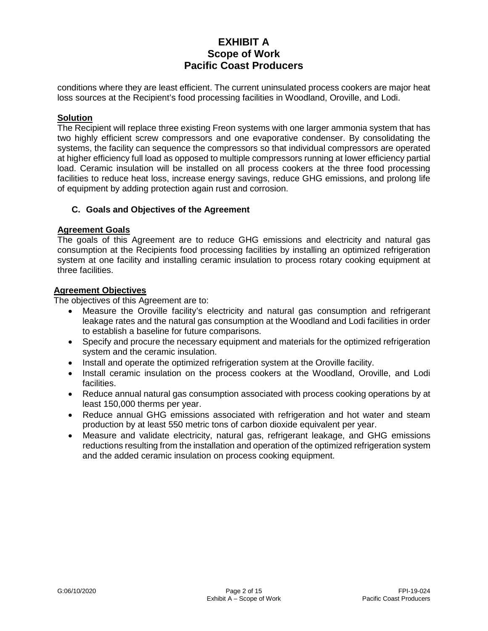conditions where they are least efficient. The current uninsulated process cookers are major heat loss sources at the Recipient's food processing facilities in Woodland, Oroville, and Lodi.

### **Solution**

The Recipient will replace three existing Freon systems with one larger ammonia system that has two highly efficient screw compressors and one evaporative condenser. By consolidating the systems, the facility can sequence the compressors so that individual compressors are operated at higher efficiency full load as opposed to multiple compressors running at lower efficiency partial load. Ceramic insulation will be installed on all process cookers at the three food processing facilities to reduce heat loss, increase energy savings, reduce GHG emissions, and prolong life of equipment by adding protection again rust and corrosion.

### **C. Goals and Objectives of the Agreement**

### **Agreement Goals**

The goals of this Agreement are to reduce GHG emissions and electricity and natural gas consumption at the Recipients food processing facilities by installing an optimized refrigeration system at one facility and installing ceramic insulation to process rotary cooking equipment at three facilities.

### **Agreement Objectives**

The objectives of this Agreement are to:

- Measure the Oroville facility's electricity and natural gas consumption and refrigerant leakage rates and the natural gas consumption at the Woodland and Lodi facilities in order to establish a baseline for future comparisons.
- Specify and procure the necessary equipment and materials for the optimized refrigeration system and the ceramic insulation.
- Install and operate the optimized refrigeration system at the Oroville facility.
- Install ceramic insulation on the process cookers at the Woodland, Oroville, and Lodi facilities.
- Reduce annual natural gas consumption associated with process cooking operations by at least 150,000 therms per year.
- Reduce annual GHG emissions associated with refrigeration and hot water and steam production by at least 550 metric tons of carbon dioxide equivalent per year.
- Measure and validate electricity, natural gas, refrigerant leakage, and GHG emissions reductions resulting from the installation and operation of the optimized refrigeration system and the added ceramic insulation on process cooking equipment.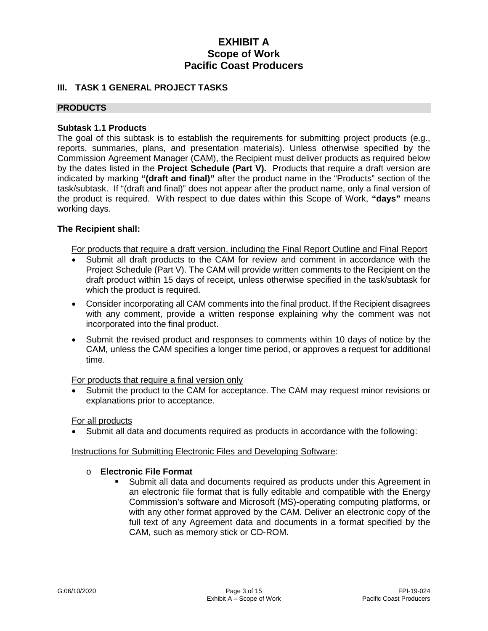## **III. TASK 1 GENERAL PROJECT TASKS**

### **PRODUCTS**

### **Subtask 1.1 Products**

The goal of this subtask is to establish the requirements for submitting project products (e.g., reports, summaries, plans, and presentation materials). Unless otherwise specified by the Commission Agreement Manager (CAM), the Recipient must deliver products as required below by the dates listed in the **Project Schedule (Part V).** Products that require a draft version are indicated by marking **"(draft and final)"** after the product name in the "Products" section of the task/subtask. If "(draft and final)" does not appear after the product name, only a final version of the product is required. With respect to due dates within this Scope of Work, **"days"** means working days.

### **The Recipient shall:**

For products that require a draft version, including the Final Report Outline and Final Report

- Submit all draft products to the CAM for review and comment in accordance with the Project Schedule (Part V). The CAM will provide written comments to the Recipient on the draft product within 15 days of receipt, unless otherwise specified in the task/subtask for which the product is required.
- Consider incorporating all CAM comments into the final product. If the Recipient disagrees with any comment, provide a written response explaining why the comment was not incorporated into the final product.
- Submit the revised product and responses to comments within 10 days of notice by the CAM, unless the CAM specifies a longer time period, or approves a request for additional time.

### For products that require a final version only

• Submit the product to the CAM for acceptance. The CAM may request minor revisions or explanations prior to acceptance.

### For all products

• Submit all data and documents required as products in accordance with the following:

### Instructions for Submitting Electronic Files and Developing Software:

### o **Electronic File Format**

 Submit all data and documents required as products under this Agreement in an electronic file format that is fully editable and compatible with the Energy Commission's software and Microsoft (MS)-operating computing platforms, or with any other format approved by the CAM. Deliver an electronic copy of the full text of any Agreement data and documents in a format specified by the CAM, such as memory stick or CD-ROM.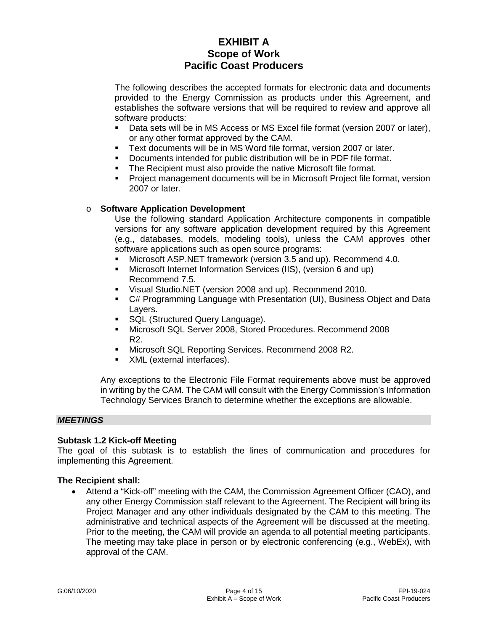The following describes the accepted formats for electronic data and documents provided to the Energy Commission as products under this Agreement, and establishes the software versions that will be required to review and approve all software products:

- Data sets will be in MS Access or MS Excel file format (version 2007 or later), or any other format approved by the CAM.
- Text documents will be in MS Word file format, version 2007 or later.
- Documents intended for public distribution will be in PDF file format.
- The Recipient must also provide the native Microsoft file format.
- Project management documents will be in Microsoft Project file format, version 2007 or later.

### o **Software Application Development**

Use the following standard Application Architecture components in compatible versions for any software application development required by this Agreement (e.g., databases, models, modeling tools), unless the CAM approves other software applications such as open source programs:

- Microsoft ASP.NET framework (version 3.5 and up). Recommend 4.0.
- Microsoft Internet Information Services (IIS), (version 6 and up) Recommend 7.5.
- Visual Studio.NET (version 2008 and up). Recommend 2010.
- C# Programming Language with Presentation (UI), Business Object and Data Layers.
- SQL (Structured Query Language).
- Microsoft SQL Server 2008, Stored Procedures. Recommend 2008 R2.
- **Microsoft SQL Reporting Services. Recommend 2008 R2.**
- XML (external interfaces).

Any exceptions to the Electronic File Format requirements above must be approved in writing by the CAM. The CAM will consult with the Energy Commission's Information Technology Services Branch to determine whether the exceptions are allowable.

### *MEETINGS*

### **Subtask 1.2 Kick-off Meeting**

The goal of this subtask is to establish the lines of communication and procedures for implementing this Agreement.

### **The Recipient shall:**

• Attend a "Kick-off" meeting with the CAM, the Commission Agreement Officer (CAO), and any other Energy Commission staff relevant to the Agreement. The Recipient will bring its Project Manager and any other individuals designated by the CAM to this meeting. The administrative and technical aspects of the Agreement will be discussed at the meeting. Prior to the meeting, the CAM will provide an agenda to all potential meeting participants. The meeting may take place in person or by electronic conferencing (e.g., WebEx), with approval of the CAM.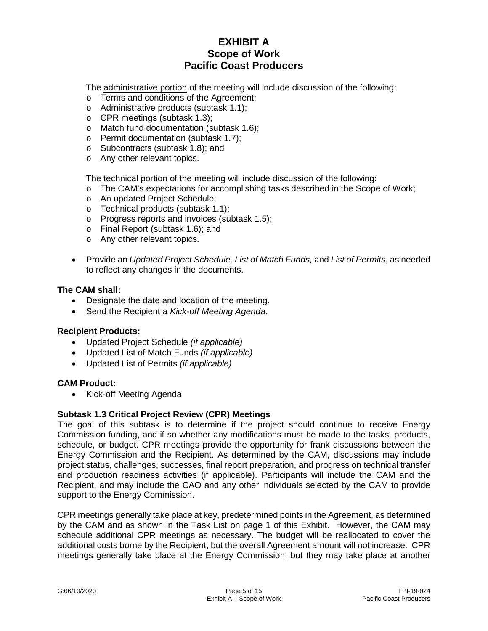The administrative portion of the meeting will include discussion of the following:

- o Terms and conditions of the Agreement;
- o Administrative products (subtask 1.1);
- o CPR meetings (subtask 1.3);
- o Match fund documentation (subtask 1.6);
- o Permit documentation (subtask 1.7);
- o Subcontracts (subtask 1.8); and
- o Any other relevant topics.

The technical portion of the meeting will include discussion of the following:

- o The CAM's expectations for accomplishing tasks described in the Scope of Work;
- o An updated Project Schedule;
- o Technical products (subtask 1.1);
- o Progress reports and invoices (subtask 1.5);
- o Final Report (subtask 1.6); and
- o Any other relevant topics.
- Provide an *Updated Project Schedule, List of Match Funds,* and *List of Permits*, as needed to reflect any changes in the documents.

### **The CAM shall:**

- Designate the date and location of the meeting.
- Send the Recipient a *Kick-off Meeting Agenda*.

### **Recipient Products:**

- Updated Project Schedule *(if applicable)*
- Updated List of Match Funds *(if applicable)*
- Updated List of Permits *(if applicable)*

### **CAM Product:**

• Kick-off Meeting Agenda

### **Subtask 1.3 Critical Project Review (CPR) Meetings**

The goal of this subtask is to determine if the project should continue to receive Energy Commission funding, and if so whether any modifications must be made to the tasks, products, schedule, or budget. CPR meetings provide the opportunity for frank discussions between the Energy Commission and the Recipient. As determined by the CAM, discussions may include project status, challenges, successes, final report preparation, and progress on technical transfer and production readiness activities (if applicable). Participants will include the CAM and the Recipient, and may include the CAO and any other individuals selected by the CAM to provide support to the Energy Commission.

CPR meetings generally take place at key, predetermined points in the Agreement, as determined by the CAM and as shown in the Task List on page 1 of this Exhibit. However, the CAM may schedule additional CPR meetings as necessary. The budget will be reallocated to cover the additional costs borne by the Recipient, but the overall Agreement amount will not increase. CPR meetings generally take place at the Energy Commission, but they may take place at another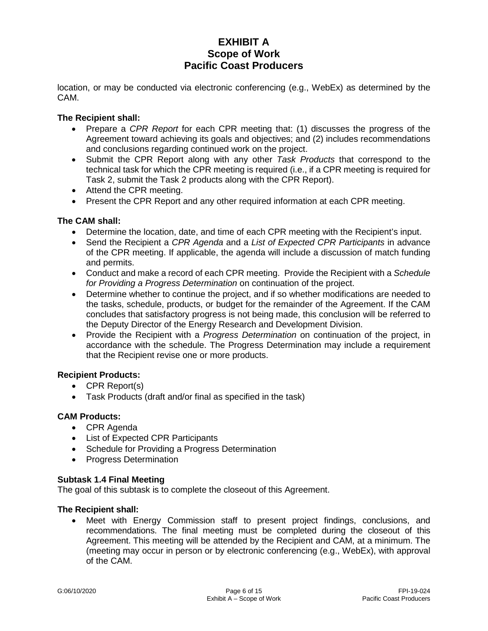location, or may be conducted via electronic conferencing (e.g., WebEx) as determined by the CAM.

### **The Recipient shall:**

- Prepare a *CPR Report* for each CPR meeting that: (1) discusses the progress of the Agreement toward achieving its goals and objectives; and (2) includes recommendations and conclusions regarding continued work on the project.
- Submit the CPR Report along with any other *Task Products* that correspond to the technical task for which the CPR meeting is required (i.e., if a CPR meeting is required for Task 2, submit the Task 2 products along with the CPR Report).
- Attend the CPR meeting.
- Present the CPR Report and any other required information at each CPR meeting.

### **The CAM shall:**

- Determine the location, date, and time of each CPR meeting with the Recipient's input.
- Send the Recipient a *CPR Agenda* and a *List of Expected CPR Participants* in advance of the CPR meeting. If applicable, the agenda will include a discussion of match funding and permits.
- Conduct and make a record of each CPR meeting. Provide the Recipient with a *Schedule for Providing a Progress Determination* on continuation of the project.
- Determine whether to continue the project, and if so whether modifications are needed to the tasks, schedule, products, or budget for the remainder of the Agreement. If the CAM concludes that satisfactory progress is not being made, this conclusion will be referred to the Deputy Director of the Energy Research and Development Division.
- Provide the Recipient with a *Progress Determination* on continuation of the project, in accordance with the schedule. The Progress Determination may include a requirement that the Recipient revise one or more products.

### **Recipient Products:**

- CPR Report(s)
- Task Products (draft and/or final as specified in the task)

### **CAM Products:**

- CPR Agenda
- List of Expected CPR Participants
- Schedule for Providing a Progress Determination
- Progress Determination

### **Subtask 1.4 Final Meeting**

The goal of this subtask is to complete the closeout of this Agreement.

### **The Recipient shall:**

• Meet with Energy Commission staff to present project findings, conclusions, and recommendations. The final meeting must be completed during the closeout of this Agreement. This meeting will be attended by the Recipient and CAM, at a minimum. The (meeting may occur in person or by electronic conferencing (e.g., WebEx), with approval of the CAM.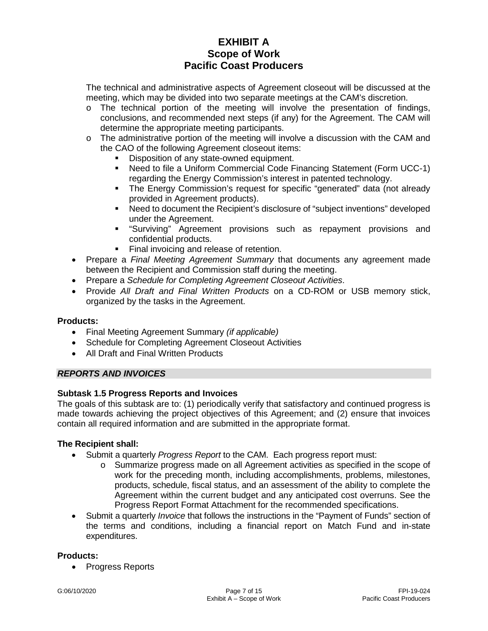The technical and administrative aspects of Agreement closeout will be discussed at the meeting, which may be divided into two separate meetings at the CAM's discretion.

- $\circ$  The technical portion of the meeting will involve the presentation of findings, conclusions, and recommended next steps (if any) for the Agreement. The CAM will determine the appropriate meeting participants.
- $\circ$  The administrative portion of the meeting will involve a discussion with the CAM and the CAO of the following Agreement closeout items:
	- Disposition of any state-owned equipment.
	- Need to file a Uniform Commercial Code Financing Statement (Form UCC-1) regarding the Energy Commission's interest in patented technology.
	- The Energy Commission's request for specific "generated" data (not already provided in Agreement products).
	- Need to document the Recipient's disclosure of "subject inventions" developed under the Agreement.
	- "Surviving" Agreement provisions such as repayment provisions and confidential products.
	- Final invoicing and release of retention.
- Prepare a *Final Meeting Agreement Summary* that documents any agreement made between the Recipient and Commission staff during the meeting.
- Prepare a *Schedule for Completing Agreement Closeout Activities*.
- Provide *All Draft and Final Written Products* on a CD-ROM or USB memory stick, organized by the tasks in the Agreement.

### **Products:**

- Final Meeting Agreement Summary *(if applicable)*
- Schedule for Completing Agreement Closeout Activities
- All Draft and Final Written Products

### *REPORTS AND INVOICES*

### **Subtask 1.5 Progress Reports and Invoices**

The goals of this subtask are to: (1) periodically verify that satisfactory and continued progress is made towards achieving the project objectives of this Agreement; and (2) ensure that invoices contain all required information and are submitted in the appropriate format.

### **The Recipient shall:**

- Submit a quarterly *Progress Report* to the CAM. Each progress report must:
	- o Summarize progress made on all Agreement activities as specified in the scope of work for the preceding month, including accomplishments, problems, milestones, products, schedule, fiscal status, and an assessment of the ability to complete the Agreement within the current budget and any anticipated cost overruns. See the Progress Report Format Attachment for the recommended specifications.
- Submit a quarterly *Invoice* that follows the instructions in the "Payment of Funds" section of the terms and conditions, including a financial report on Match Fund and in-state expenditures.

### **Products:**

• Progress Reports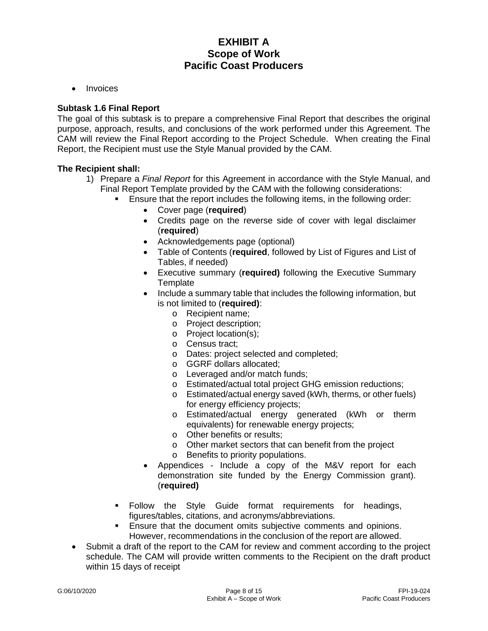• Invoices

### **Subtask 1.6 Final Report**

The goal of this subtask is to prepare a comprehensive Final Report that describes the original purpose, approach, results, and conclusions of the work performed under this Agreement. The CAM will review the Final Report according to the Project Schedule. When creating the Final Report, the Recipient must use the Style Manual provided by the CAM.

### **The Recipient shall:**

- 1) Prepare a *Final Report* for this Agreement in accordance with the Style Manual, and Final Report Template provided by the CAM with the following considerations:
	- Ensure that the report includes the following items, in the following order:
		- Cover page (**required**)
		- Credits page on the reverse side of cover with legal disclaimer (**required**)
		- Acknowledgements page (optional)
		- Table of Contents (**required**, followed by List of Figures and List of Tables, if needed)
		- Executive summary (**required)** following the Executive Summary **Template**
		- Include a summary table that includes the following information, but is not limited to (**required)**:
			- o Recipient name;
			- o Project description;
			- o Project location(s);
			- o Census tract;
			- o Dates: project selected and completed;
			- o GGRF dollars allocated;
			- o Leveraged and/or match funds;
			- o Estimated/actual total project GHG emission reductions;
			- o Estimated/actual energy saved (kWh, therms, or other fuels) for energy efficiency projects;
			- o Estimated/actual energy generated (kWh or therm equivalents) for renewable energy projects;
			- o Other benefits or results;
			- o Other market sectors that can benefit from the project
			- o Benefits to priority populations.
		- Appendices Include a copy of the M&V report for each demonstration site funded by the Energy Commission grant). (**required)**
	- Follow the Style Guide format requirements for headings, figures/tables, citations, and acronyms/abbreviations.
	- **Ensure that the document omits subjective comments and opinions.** However, recommendations in the conclusion of the report are allowed.
- Submit a draft of the report to the CAM for review and comment according to the project schedule. The CAM will provide written comments to the Recipient on the draft product within 15 days of receipt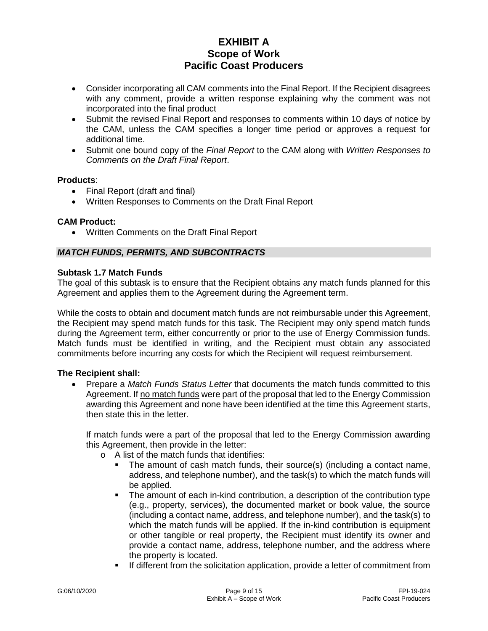- Consider incorporating all CAM comments into the Final Report. If the Recipient disagrees with any comment, provide a written response explaining why the comment was not incorporated into the final product
- Submit the revised Final Report and responses to comments within 10 days of notice by the CAM, unless the CAM specifies a longer time period or approves a request for additional time.
- Submit one bound copy of the *Final Report* to the CAM along with *Written Responses to Comments on the Draft Final Report*.

### **Products**:

- Final Report (draft and final)
- Written Responses to Comments on the Draft Final Report

### **CAM Product:**

• Written Comments on the Draft Final Report

### *MATCH FUNDS, PERMITS, AND SUBCONTRACTS*

### **Subtask 1.7 Match Funds**

The goal of this subtask is to ensure that the Recipient obtains any match funds planned for this Agreement and applies them to the Agreement during the Agreement term.

While the costs to obtain and document match funds are not reimbursable under this Agreement, the Recipient may spend match funds for this task. The Recipient may only spend match funds during the Agreement term, either concurrently or prior to the use of Energy Commission funds. Match funds must be identified in writing, and the Recipient must obtain any associated commitments before incurring any costs for which the Recipient will request reimbursement.

### **The Recipient shall:**

• Prepare a *Match Funds Status Letter* that documents the match funds committed to this Agreement. If no match funds were part of the proposal that led to the Energy Commission awarding this Agreement and none have been identified at the time this Agreement starts, then state this in the letter.

If match funds were a part of the proposal that led to the Energy Commission awarding this Agreement, then provide in the letter:

- o A list of the match funds that identifies:
	- The amount of cash match funds, their source(s) (including a contact name, address, and telephone number), and the task(s) to which the match funds will be applied.
	- The amount of each in-kind contribution, a description of the contribution type (e.g., property, services), the documented market or book value, the source (including a contact name, address, and telephone number), and the task(s) to which the match funds will be applied. If the in-kind contribution is equipment or other tangible or real property, the Recipient must identify its owner and provide a contact name, address, telephone number, and the address where the property is located.
	- **If different from the solicitation application, provide a letter of commitment from**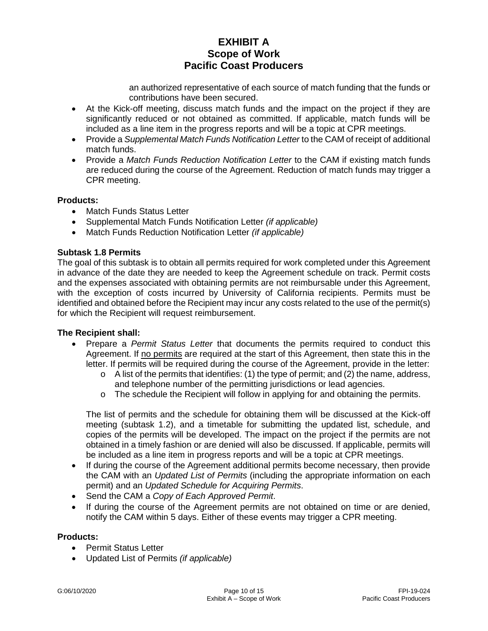an authorized representative of each source of match funding that the funds or contributions have been secured.

- At the Kick-off meeting, discuss match funds and the impact on the project if they are significantly reduced or not obtained as committed. If applicable, match funds will be included as a line item in the progress reports and will be a topic at CPR meetings.
- Provide a *Supplemental Match Funds Notification Letter* to the CAM of receipt of additional match funds.
- Provide a *Match Funds Reduction Notification Letter* to the CAM if existing match funds are reduced during the course of the Agreement. Reduction of match funds may trigger a CPR meeting.

### **Products:**

- Match Funds Status Letter
- Supplemental Match Funds Notification Letter *(if applicable)*
- Match Funds Reduction Notification Letter *(if applicable)*

### **Subtask 1.8 Permits**

The goal of this subtask is to obtain all permits required for work completed under this Agreement in advance of the date they are needed to keep the Agreement schedule on track. Permit costs and the expenses associated with obtaining permits are not reimbursable under this Agreement, with the exception of costs incurred by University of California recipients. Permits must be identified and obtained before the Recipient may incur any costs related to the use of the permit(s) for which the Recipient will request reimbursement.

### **The Recipient shall:**

- Prepare a *Permit Status Letter* that documents the permits required to conduct this Agreement. If no permits are required at the start of this Agreement, then state this in the letter. If permits will be required during the course of the Agreement, provide in the letter:
	- $\circ$  A list of the permits that identifies: (1) the type of permit; and (2) the name, address, and telephone number of the permitting jurisdictions or lead agencies.
	- o The schedule the Recipient will follow in applying for and obtaining the permits.

The list of permits and the schedule for obtaining them will be discussed at the Kick-off meeting (subtask 1.2), and a timetable for submitting the updated list, schedule, and copies of the permits will be developed. The impact on the project if the permits are not obtained in a timely fashion or are denied will also be discussed. If applicable, permits will be included as a line item in progress reports and will be a topic at CPR meetings.

- If during the course of the Agreement additional permits become necessary, then provide the CAM with an *Updated List of Permits* (including the appropriate information on each permit) and an *Updated Schedule for Acquiring Permits*.
- Send the CAM a *Copy of Each Approved Permit*.
- If during the course of the Agreement permits are not obtained on time or are denied, notify the CAM within 5 days. Either of these events may trigger a CPR meeting.

### **Products:**

- Permit Status Letter
- Updated List of Permits *(if applicable)*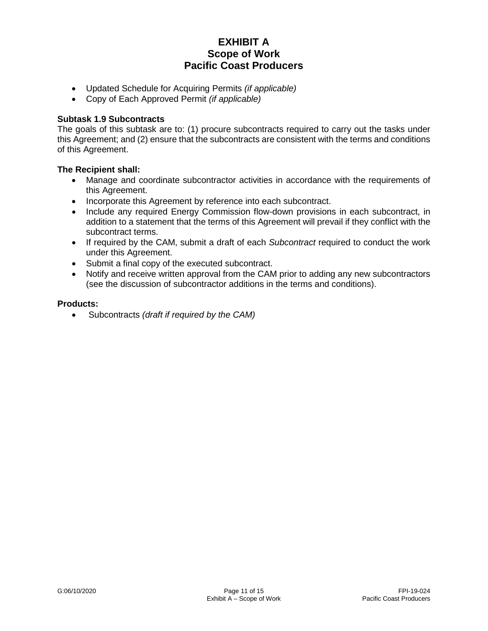- Updated Schedule for Acquiring Permits *(if applicable)*
- Copy of Each Approved Permit *(if applicable)*

### **Subtask 1.9 Subcontracts**

The goals of this subtask are to: (1) procure subcontracts required to carry out the tasks under this Agreement; and (2) ensure that the subcontracts are consistent with the terms and conditions of this Agreement.

### **The Recipient shall:**

- Manage and coordinate subcontractor activities in accordance with the requirements of this Agreement.
- Incorporate this Agreement by reference into each subcontract.
- Include any required Energy Commission flow-down provisions in each subcontract, in addition to a statement that the terms of this Agreement will prevail if they conflict with the subcontract terms.
- If required by the CAM, submit a draft of each *Subcontract* required to conduct the work under this Agreement.
- Submit a final copy of the executed subcontract.
- Notify and receive written approval from the CAM prior to adding any new subcontractors (see the discussion of subcontractor additions in the terms and conditions).

### **Products:**

• Subcontracts *(draft if required by the CAM)*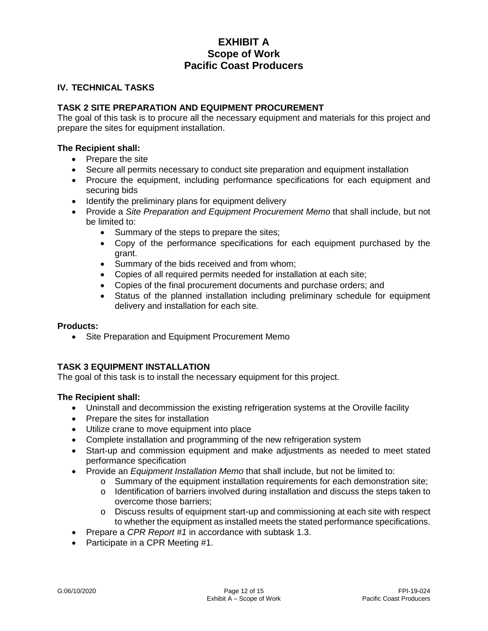### **IV. TECHNICAL TASKS**

### **TASK 2 SITE PREPARATION AND EQUIPMENT PROCUREMENT**

The goal of this task is to procure all the necessary equipment and materials for this project and prepare the sites for equipment installation.

### **The Recipient shall:**

- Prepare the site
- Secure all permits necessary to conduct site preparation and equipment installation
- Procure the equipment, including performance specifications for each equipment and securing bids
- Identify the preliminary plans for equipment delivery
- Provide a *Site Preparation and Equipment Procurement Memo* that shall include, but not be limited to:
	- Summary of the steps to prepare the sites;
	- Copy of the performance specifications for each equipment purchased by the grant.
	- Summary of the bids received and from whom;
	- Copies of all required permits needed for installation at each site;
	- Copies of the final procurement documents and purchase orders; and
	- Status of the planned installation including preliminary schedule for equipment delivery and installation for each site.

### **Products:**

• Site Preparation and Equipment Procurement Memo

### **TASK 3 EQUIPMENT INSTALLATION**

The goal of this task is to install the necessary equipment for this project.

### **The Recipient shall:**

- Uninstall and decommission the existing refrigeration systems at the Oroville facility
- Prepare the sites for installation
- Utilize crane to move equipment into place
- Complete installation and programming of the new refrigeration system
- Start-up and commission equipment and make adjustments as needed to meet stated performance specification
- Provide an *Equipment Installation Memo* that shall include, but not be limited to:
	- $\circ$  Summary of the equipment installation requirements for each demonstration site;
	- o Identification of barriers involved during installation and discuss the steps taken to overcome those barriers;
	- o Discuss results of equipment start-up and commissioning at each site with respect to whether the equipment as installed meets the stated performance specifications.
- Prepare a *CPR Report #1* in accordance with subtask 1.3.
- Participate in a CPR Meeting #1.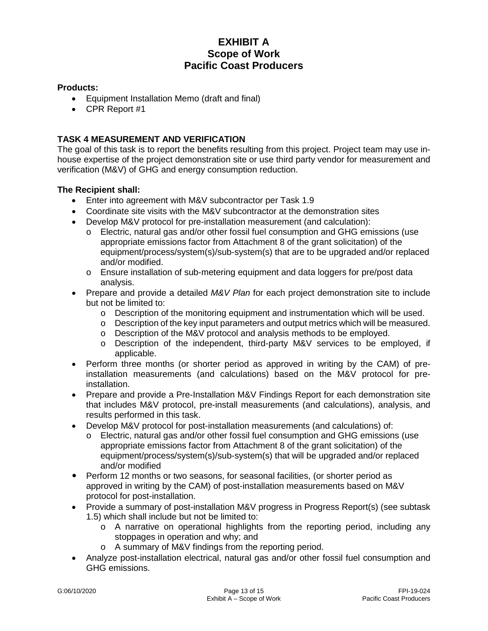## **Products:**

- Equipment Installation Memo (draft and final)
- CPR Report #1

## **TASK 4 MEASUREMENT AND VERIFICATION**

The goal of this task is to report the benefits resulting from this project. Project team may use inhouse expertise of the project demonstration site or use third party vendor for measurement and verification (M&V) of GHG and energy consumption reduction.

### **The Recipient shall:**

- Enter into agreement with M&V subcontractor per Task 1.9
- Coordinate site visits with the M&V subcontractor at the demonstration sites
- Develop M&V protocol for pre-installation measurement (and calculation):
	- o Electric, natural gas and/or other fossil fuel consumption and GHG emissions (use appropriate emissions factor from Attachment 8 of the grant solicitation) of the equipment/process/system(s)/sub-system(s) that are to be upgraded and/or replaced and/or modified.
	- o Ensure installation of sub-metering equipment and data loggers for pre/post data analysis.
- Prepare and provide a detailed *M&V Plan* for each project demonstration site to include but not be limited to:
	- o Description of the monitoring equipment and instrumentation which will be used.<br>o Description of the kev input parameters and output metrics which will be measured
	- Description of the key input parameters and output metrics which will be measured.
	- o Description of the M&V protocol and analysis methods to be employed.<br>  $\circ$  Description of the independent, third-party M&V services to be em
	- Description of the independent, third-party M&V services to be employed, if applicable.
- Perform three months (or shorter period as approved in writing by the CAM) of preinstallation measurements (and calculations) based on the M&V protocol for preinstallation.
- Prepare and provide a Pre-Installation M&V Findings Report for each demonstration site that includes M&V protocol, pre-install measurements (and calculations), analysis, and results performed in this task.
- Develop M&V protocol for post-installation measurements (and calculations) of:
	- o Electric, natural gas and/or other fossil fuel consumption and GHG emissions (use appropriate emissions factor from Attachment 8 of the grant solicitation) of the equipment/process/system(s)/sub-system(s) that will be upgraded and/or replaced and/or modified
- Perform 12 months or two seasons, for seasonal facilities, (or shorter period as approved in writing by the CAM) of post-installation measurements based on M&V protocol for post-installation.
- Provide a summary of post-installation M&V progress in Progress Report(s) (see subtask 1.5) which shall include but not be limited to:
	- o A narrative on operational highlights from the reporting period, including any stoppages in operation and why; and
	- o A summary of M&V findings from the reporting period.
- Analyze post-installation electrical, natural gas and/or other fossil fuel consumption and GHG emissions.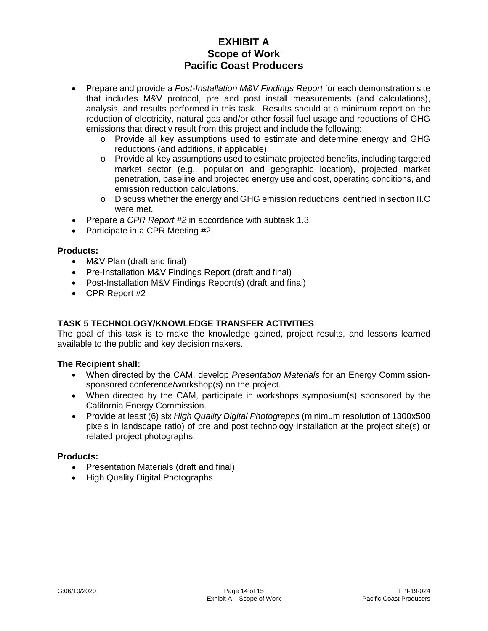- Prepare and provide a *Post-Installation M&V Findings Report* for each demonstration site that includes M&V protocol, pre and post install measurements (and calculations), analysis, and results performed in this task. Results should at a minimum report on the reduction of electricity, natural gas and/or other fossil fuel usage and reductions of GHG emissions that directly result from this project and include the following:
	- o Provide all key assumptions used to estimate and determine energy and GHG reductions (and additions, if applicable).
	- o Provide all key assumptions used to estimate projected benefits, including targeted market sector (e.g., population and geographic location), projected market penetration, baseline and projected energy use and cost, operating conditions, and emission reduction calculations.
	- o Discuss whether the energy and GHG emission reductions identified in section II.C were met.
- Prepare a *CPR Report #2* in accordance with subtask 1.3.
- Participate in a CPR Meeting #2.

### **Products:**

- M&V Plan (draft and final)
- Pre-Installation M&V Findings Report (draft and final)
- Post-Installation M&V Findings Report(s) (draft and final)
- CPR Report #2

### **TASK 5 TECHNOLOGY/KNOWLEDGE TRANSFER ACTIVITIES**

The goal of this task is to make the knowledge gained, project results, and lessons learned available to the public and key decision makers.

### **The Recipient shall:**

- When directed by the CAM, develop *Presentation Materials* for an Energy Commissionsponsored conference/workshop(s) on the project.
- When directed by the CAM, participate in workshops symposium(s) sponsored by the California Energy Commission.
- Provide at least (6) six *High Quality Digital Photographs* (minimum resolution of 1300x500 pixels in landscape ratio) of pre and post technology installation at the project site(s) or related project photographs.

### **Products:**

- Presentation Materials (draft and final)
- High Quality Digital Photographs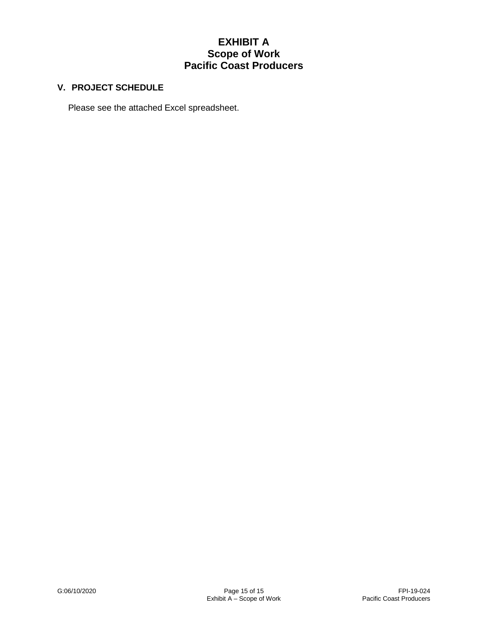## **V. PROJECT SCHEDULE**

Please see the attached Excel spreadsheet.